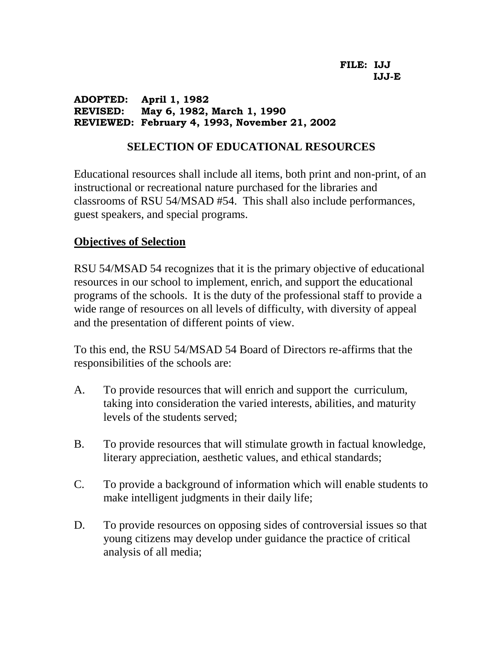#### **ADOPTED: April 1, 1982 REVISED: May 6, 1982, March 1, 1990 REVIEWED: February 4, 1993, November 21, 2002**

# **SELECTION OF EDUCATIONAL RESOURCES**

Educational resources shall include all items, both print and non-print, of an instructional or recreational nature purchased for the libraries and classrooms of RSU 54/MSAD #54. This shall also include performances, guest speakers, and special programs.

# **Objectives of Selection**

RSU 54/MSAD 54 recognizes that it is the primary objective of educational resources in our school to implement, enrich, and support the educational programs of the schools. It is the duty of the professional staff to provide a wide range of resources on all levels of difficulty, with diversity of appeal and the presentation of different points of view.

To this end, the RSU 54/MSAD 54 Board of Directors re-affirms that the responsibilities of the schools are:

- A. To provide resources that will enrich and support the curriculum, taking into consideration the varied interests, abilities, and maturity levels of the students served;
- B. To provide resources that will stimulate growth in factual knowledge, literary appreciation, aesthetic values, and ethical standards;
- C. To provide a background of information which will enable students to make intelligent judgments in their daily life;
- D. To provide resources on opposing sides of controversial issues so that young citizens may develop under guidance the practice of critical analysis of all media;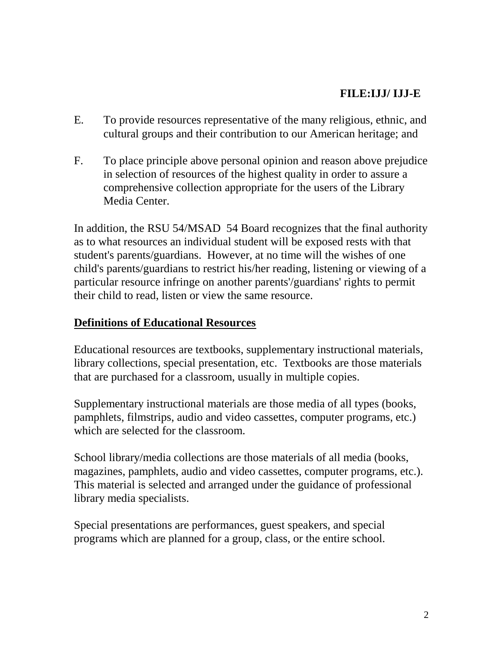# **FILE:IJJ/ IJJ-E**

- E. To provide resources representative of the many religious, ethnic, and cultural groups and their contribution to our American heritage; and
- F. To place principle above personal opinion and reason above prejudice in selection of resources of the highest quality in order to assure a comprehensive collection appropriate for the users of the Library Media Center.

In addition, the RSU 54/MSAD 54 Board recognizes that the final authority as to what resources an individual student will be exposed rests with that student's parents/guardians. However, at no time will the wishes of one child's parents/guardians to restrict his/her reading, listening or viewing of a particular resource infringe on another parents'/guardians' rights to permit their child to read, listen or view the same resource.

# **Definitions of Educational Resources**

Educational resources are textbooks, supplementary instructional materials, library collections, special presentation, etc. Textbooks are those materials that are purchased for a classroom, usually in multiple copies.

Supplementary instructional materials are those media of all types (books, pamphlets, filmstrips, audio and video cassettes, computer programs, etc.) which are selected for the classroom.

School library/media collections are those materials of all media (books, magazines, pamphlets, audio and video cassettes, computer programs, etc.). This material is selected and arranged under the guidance of professional library media specialists.

Special presentations are performances, guest speakers, and special programs which are planned for a group, class, or the entire school.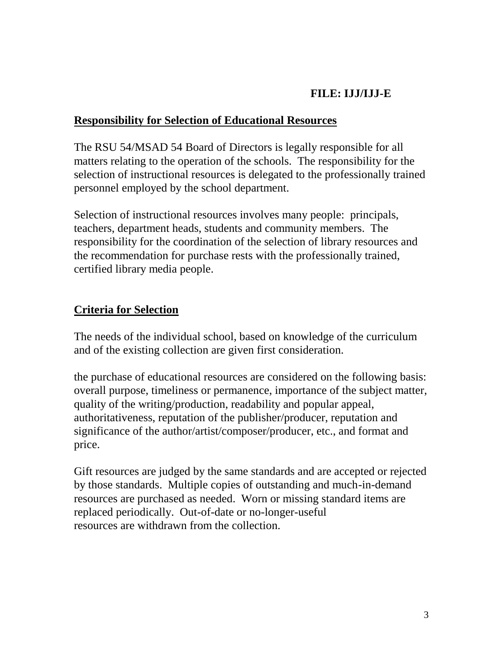# **FILE: IJJ/IJJ-E**

# **Responsibility for Selection of Educational Resources**

The RSU 54/MSAD 54 Board of Directors is legally responsible for all matters relating to the operation of the schools. The responsibility for the selection of instructional resources is delegated to the professionally trained personnel employed by the school department.

Selection of instructional resources involves many people: principals, teachers, department heads, students and community members. The responsibility for the coordination of the selection of library resources and the recommendation for purchase rests with the professionally trained, certified library media people.

# **Criteria for Selection**

The needs of the individual school, based on knowledge of the curriculum and of the existing collection are given first consideration.

the purchase of educational resources are considered on the following basis: overall purpose, timeliness or permanence, importance of the subject matter, quality of the writing/production, readability and popular appeal, authoritativeness, reputation of the publisher/producer, reputation and significance of the author/artist/composer/producer, etc., and format and price.

Gift resources are judged by the same standards and are accepted or rejected by those standards. Multiple copies of outstanding and much-in-demand resources are purchased as needed. Worn or missing standard items are replaced periodically. Out-of-date or no-longer-useful resources are withdrawn from the collection.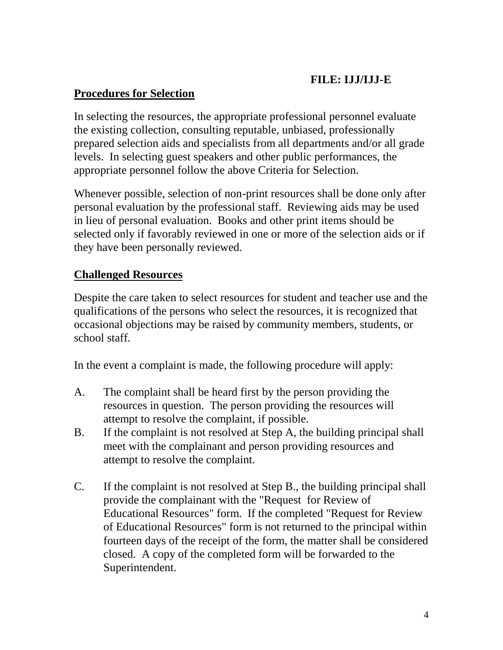# **FILE: IJJ/IJJ-E**

# **Procedures for Selection**

In selecting the resources, the appropriate professional personnel evaluate the existing collection, consulting reputable, unbiased, professionally prepared selection aids and specialists from all departments and/or all grade levels. In selecting guest speakers and other public performances, the appropriate personnel follow the above Criteria for Selection.

Whenever possible, selection of non-print resources shall be done only after personal evaluation by the professional staff. Reviewing aids may be used in lieu of personal evaluation. Books and other print items should be selected only if favorably reviewed in one or more of the selection aids or if they have been personally reviewed.

# **Challenged Resources**

Despite the care taken to select resources for student and teacher use and the qualifications of the persons who select the resources, it is recognized that occasional objections may be raised by community members, students, or school staff.

In the event a complaint is made, the following procedure will apply:

- A. The complaint shall be heard first by the person providing the resources in question. The person providing the resources will attempt to resolve the complaint, if possible.
- B. If the complaint is not resolved at Step A, the building principal shall meet with the complainant and person providing resources and attempt to resolve the complaint.
- C. If the complaint is not resolved at Step B., the building principal shall provide the complainant with the "Request for Review of Educational Resources" form. If the completed "Request for Review of Educational Resources" form is not returned to the principal within fourteen days of the receipt of the form, the matter shall be considered closed. A copy of the completed form will be forwarded to the Superintendent.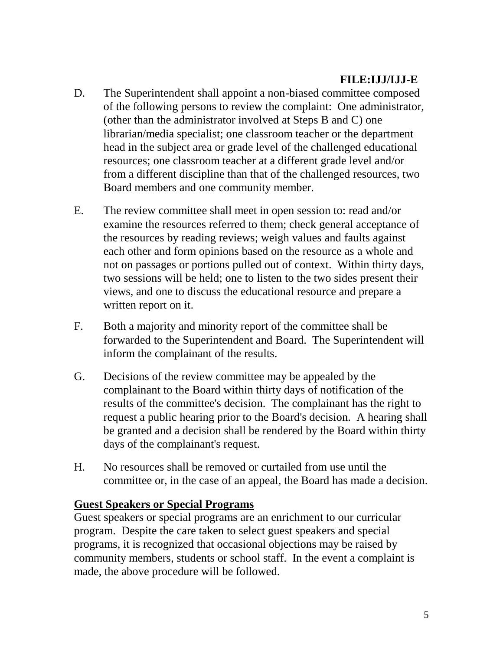# **FILE:IJJ/IJJ-E**

- D. The Superintendent shall appoint a non-biased committee composed of the following persons to review the complaint: One administrator, (other than the administrator involved at Steps B and C) one librarian/media specialist; one classroom teacher or the department head in the subject area or grade level of the challenged educational resources; one classroom teacher at a different grade level and/or from a different discipline than that of the challenged resources, two Board members and one community member.
- E. The review committee shall meet in open session to: read and/or examine the resources referred to them; check general acceptance of the resources by reading reviews; weigh values and faults against each other and form opinions based on the resource as a whole and not on passages or portions pulled out of context. Within thirty days, two sessions will be held; one to listen to the two sides present their views, and one to discuss the educational resource and prepare a written report on it.
- F. Both a majority and minority report of the committee shall be forwarded to the Superintendent and Board. The Superintendent will inform the complainant of the results.
- G. Decisions of the review committee may be appealed by the complainant to the Board within thirty days of notification of the results of the committee's decision. The complainant has the right to request a public hearing prior to the Board's decision. A hearing shall be granted and a decision shall be rendered by the Board within thirty days of the complainant's request.
- H. No resources shall be removed or curtailed from use until the committee or, in the case of an appeal, the Board has made a decision.

#### **Guest Speakers or Special Programs**

Guest speakers or special programs are an enrichment to our curricular program. Despite the care taken to select guest speakers and special programs, it is recognized that occasional objections may be raised by community members, students or school staff. In the event a complaint is made, the above procedure will be followed.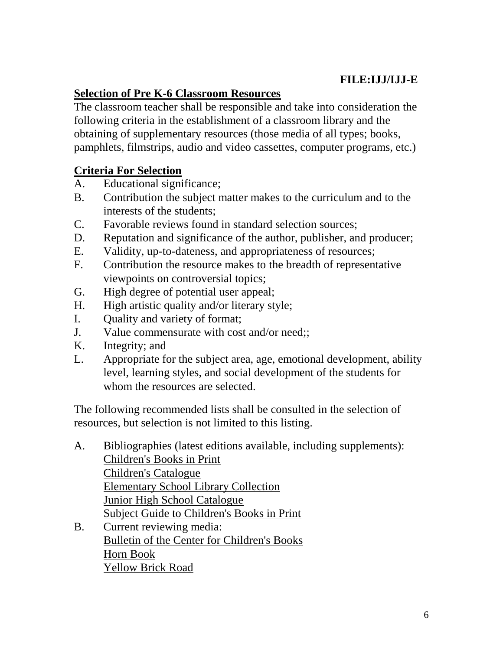# **FILE:IJJ/IJJ-E**

# **Selection of Pre K-6 Classroom Resources**

The classroom teacher shall be responsible and take into consideration the following criteria in the establishment of a classroom library and the obtaining of supplementary resources (those media of all types; books, pamphlets, filmstrips, audio and video cassettes, computer programs, etc.)

# **Criteria For Selection**

- A. Educational significance;
- B. Contribution the subject matter makes to the curriculum and to the interests of the students;
- C. Favorable reviews found in standard selection sources;
- D. Reputation and significance of the author, publisher, and producer;
- E. Validity, up-to-dateness, and appropriateness of resources;
- F. Contribution the resource makes to the breadth of representative viewpoints on controversial topics;
- G. High degree of potential user appeal;
- H. High artistic quality and/or literary style;
- I. Quality and variety of format;
- J. Value commensurate with cost and/or need;;
- K. Integrity; and
- L. Appropriate for the subject area, age, emotional development, ability level, learning styles, and social development of the students for whom the resources are selected.

The following recommended lists shall be consulted in the selection of resources, but selection is not limited to this listing.

- A. Bibliographies (latest editions available, including supplements): Children's Books in Print Children's Catalogue Elementary School Library Collection Junior High School Catalogue Subject Guide to Children's Books in Print B. Current reviewing media:
- Bulletin of the Center for Children's Books Horn Book Yellow Brick Road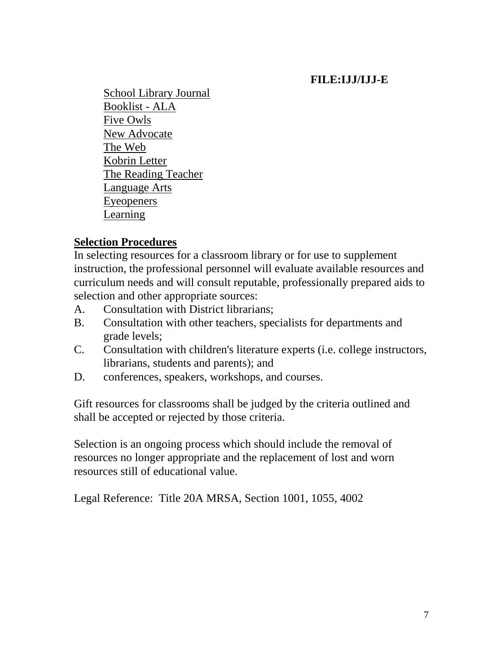# **FILE:IJJ/IJJ-E**

School Library Journal Booklist - ALA Five Owls New Advocate The Web Kobrin Letter The Reading Teacher Language Arts Eyeopeners Learning

# **Selection Procedures**

In selecting resources for a classroom library or for use to supplement instruction, the professional personnel will evaluate available resources and curriculum needs and will consult reputable, professionally prepared aids to selection and other appropriate sources:

- A. Consultation with District librarians;
- B. Consultation with other teachers, specialists for departments and grade levels;
- C. Consultation with children's literature experts (i.e. college instructors, librarians, students and parents); and
- D. conferences, speakers, workshops, and courses.

Gift resources for classrooms shall be judged by the criteria outlined and shall be accepted or rejected by those criteria.

Selection is an ongoing process which should include the removal of resources no longer appropriate and the replacement of lost and worn resources still of educational value.

Legal Reference: Title 20A MRSA, Section 1001, 1055, 4002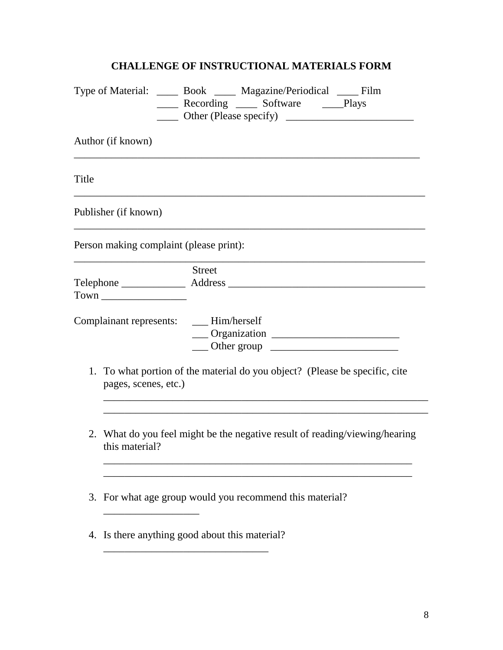# **CHALLENGE OF INSTRUCTIONAL MATERIALS FORM**

|                                                                                                     |                                                                                               | Type of Material: ______ Book ______ Magazine/Periodical _____ Film<br>______ Recording ______ Software ______Plays |
|-----------------------------------------------------------------------------------------------------|-----------------------------------------------------------------------------------------------|---------------------------------------------------------------------------------------------------------------------|
| Author (if known)                                                                                   |                                                                                               |                                                                                                                     |
| Title                                                                                               |                                                                                               |                                                                                                                     |
| Publisher (if known)                                                                                |                                                                                               |                                                                                                                     |
|                                                                                                     |                                                                                               | Person making complaint (please print):                                                                             |
|                                                                                                     |                                                                                               | <b>Street</b>                                                                                                       |
| Complainant represents: ___ Him/herself                                                             |                                                                                               | $\frac{1}{2}$ Other group $\frac{1}{2}$ Other group                                                                 |
| 1. To what portion of the material do you object? (Please be specific, cite<br>pages, scenes, etc.) |                                                                                               |                                                                                                                     |
|                                                                                                     | 2. What do you feel might be the negative result of reading/viewing/hearing<br>this material? |                                                                                                                     |
|                                                                                                     | 3. For what age group would you recommend this material?                                      |                                                                                                                     |
|                                                                                                     | 4. Is there anything good about this material?                                                |                                                                                                                     |